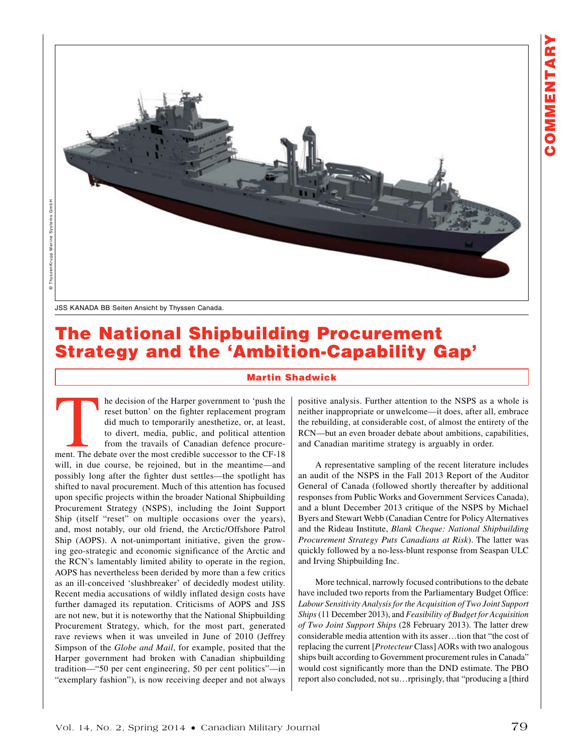

JSS KANADA BB Seiten Ansicht by Thyssen Canada.

## The National Shipbuilding Procurement Strategy and the 'Ambition-Capability Gap'

## Martin Shadwick

The decision of the Harper government to 'push the reset button' on the fighter replacement program did much to temporarily anesthetize, or, at least, to divert, media, public, and political attention from the travails of reset button' on the fighter replacement program did much to temporarily anesthetize, or, at least, to divert, media, public, and political attention from the travails of Canadian defence procurewill, in due course, be rejoined, but in the meantime—and possibly long after the fighter dust settles—the spotlight has shifted to naval procurement. Much of this attention has focused upon specific projects within the broader National Shipbuilding Procurement Strategy (NSPS), including the Joint Support Ship (itself "reset" on multiple occasions over the years), and, most notably, our old friend, the Arctic/Offshore Patrol Ship (AOPS). A not-unimportant initiative, given the growing geo-strategic and economic significance of the Arctic and the RCN's lamentably limited ability to operate in the region, AOPS has nevertheless been derided by more than a few critics as an ill-conceived 'slushbreaker' of decidedly modest utility. Recent media accusations of wildly inflated design costs have further damaged its reputation. Criticisms of AOPS and JSS are not new, but it is noteworthy that the National Shipbuilding Procurement Strategy, which, for the most part, generated rave reviews when it was unveiled in June of 2010 (Jeffrey Simpson of the *Globe and Mail*, for example, posited that the Harper government had broken with Canadian shipbuilding tradition—"50 per cent engineering, 50 per cent politics"—in "exemplary fashion"), is now receiving deeper and not always

positive analysis. Further attention to the NSPS as a whole is neither inappropriate or unwelcome—it does, after all, embrace the rebuilding, at considerable cost, of almost the entirety of the RCN—but an even broader debate about ambitions, capabilities, and Canadian maritime strategy is arguably in order.

A representative sampling of the recent literature includes an audit of the NSPS in the Fall 2013 Report of the Auditor General of Canada (followed shortly thereafter by additional responses from Public Works and Government Services Canada), and a blunt December 2013 critique of the NSPS by Michael Byers and Stewart Webb (Canadian Centre for Policy Alternatives and the Rideau Institute, *Blank Cheque: National Shipbuilding Procurement Strategy Puts Canadians at Risk*). The latter was quickly followed by a no-less-blunt response from Seaspan ULC and Irving Shipbuilding Inc.

More technical, narrowly focused contributions to the debate have included two reports from the Parliamentary Budget Office: *Labour Sensitivity Analysis for the Acquisition of Two Joint Support Ships* (11 December 2013), and *Feasibility of Budget for Acquisition of Two Joint Support Ships* (28 February 2013). The latter drew considerable media attention with its asser…tion that "the cost of replacing the current [*Protecteur* Class] AORs with two analogous ships built according to Government procurement rules in Canada" would cost significantly more than the DND estimate. The PBO report also concluded, not su…rprisingly, that "producing a [third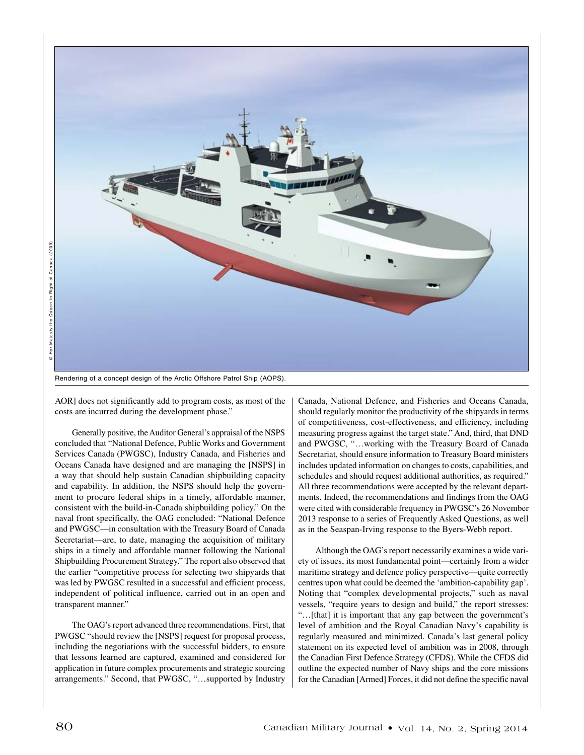

AOR] does not significantly add to program costs, as most of the costs are incurred during the development phase."

Generally positive, the Auditor General's appraisal of the NSPS concluded that "National Defence, Public Works and Government Services Canada (PWGSC), Industry Canada, and Fisheries and Oceans Canada have designed and are managing the [NSPS] in a way that should help sustain Canadian shipbuilding capacity and capability. In addition, the NSPS should help the government to procure federal ships in a timely, affordable manner, consistent with the build-in-Canada shipbuilding policy." On the naval front specifically, the OAG concluded: "National Defence and PWGSC—in consultation with the Treasury Board of Canada Secretariat—are, to date, managing the acquisition of military ships in a timely and affordable manner following the National Shipbuilding Procurement Strategy." The report also observed that the earlier "competitive process for selecting two shipyards that was led by PWGSC resulted in a successful and efficient process, independent of political influence, carried out in an open and transparent manner."

The OAG's report advanced three recommendations. First, that PWGSC "should review the [NSPS] request for proposal process, including the negotiations with the successful bidders, to ensure that lessons learned are captured, examined and considered for application in future complex procurements and strategic sourcing arrangements." Second, that PWGSC, "…supported by Industry Canada, National Defence, and Fisheries and Oceans Canada, should regularly monitor the productivity of the shipyards in terms of competitiveness, cost-effectiveness, and efficiency, including measuring progress against the target state." And, third, that DND and PWGSC, "…working with the Treasury Board of Canada Secretariat, should ensure information to Treasury Board ministers includes updated information on changes to costs, capabilities, and schedules and should request additional authorities, as required." All three recommendations were accepted by the relevant departments. Indeed, the recommendations and findings from the OAG were cited with considerable frequency in PWGSC's 26 November 2013 response to a series of Frequently Asked Questions, as well as in the Seaspan-Irving response to the Byers-Webb report.

Although the OAG's report necessarily examines a wide variety of issues, its most fundamental point—certainly from a wider maritime strategy and defence policy perspective—quite correctly centres upon what could be deemed the 'ambition-capability gap'. Noting that "complex developmental projects," such as naval vessels, "require years to design and build," the report stresses: "…[that] it is important that any gap between the government's level of ambition and the Royal Canadian Navy's capability is regularly measured and minimized. Canada's last general policy statement on its expected level of ambition was in 2008, through the Canadian First Defence Strategy (CFDS). While the CFDS did outline the expected number of Navy ships and the core missions for the Canadian [Armed] Forces, it did not define the specific naval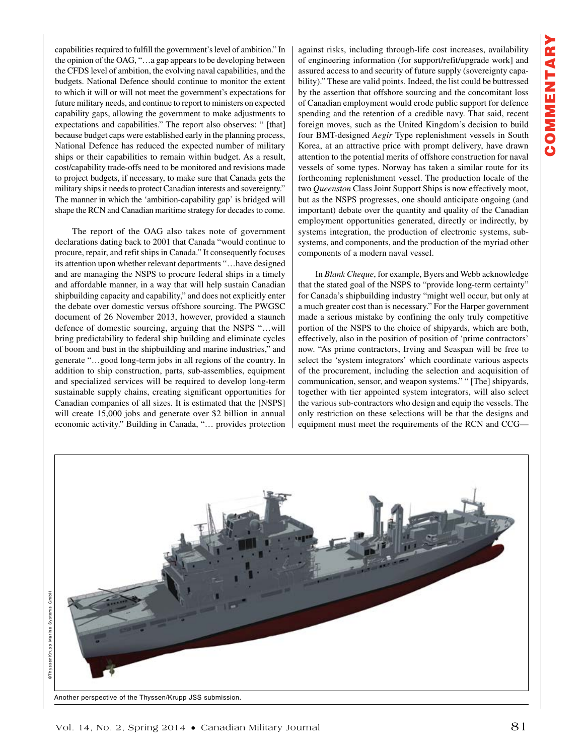capabilities required to fulfill the government's level of ambition." In the opinion of the OAG, "…a gap appears to be developing between the CFDS level of ambition, the evolving naval capabilities, and the budgets. National Defence should continue to monitor the extent to which it will or will not meet the government's expectations for future military needs, and continue to report to ministers on expected capability gaps, allowing the government to make adjustments to expectations and capabilities." The report also observes: " [that] because budget caps were established early in the planning process, National Defence has reduced the expected number of military ships or their capabilities to remain within budget. As a result, cost/capability trade-offs need to be monitored and revisions made to project budgets, if necessary, to make sure that Canada gets the military ships it needs to protect Canadian interests and sovereignty." The manner in which the 'ambition-capability gap' is bridged will shape the RCN and Canadian maritime strategy for decades to come.

The report of the OAG also takes note of government declarations dating back to 2001 that Canada "would continue to procure, repair, and refit ships in Canada." It consequently focuses its attention upon whether relevant departments "…have designed and are managing the NSPS to procure federal ships in a timely and affordable manner, in a way that will help sustain Canadian shipbuilding capacity and capability," and does not explicitly enter the debate over domestic versus offshore sourcing. The PWGSC document of 26 November 2013, however, provided a staunch defence of domestic sourcing, arguing that the NSPS "…will bring predictability to federal ship building and eliminate cycles of boom and bust in the shipbuilding and marine industries," and generate "…good long-term jobs in all regions of the country. In addition to ship construction, parts, sub-assemblies, equipment and specialized services will be required to develop long-term sustainable supply chains, creating significant opportunities for Canadian companies of all sizes. It is estimated that the [NSPS] will create 15,000 jobs and generate over \$2 billion in annual economic activity." Building in Canada, "… provides protection against risks, including through-life cost increases, availability of engineering information (for support/refit/upgrade work] and assured access to and security of future supply (sovereignty capability)." These are valid points. Indeed, the list could be buttressed by the assertion that offshore sourcing and the concomitant loss of Canadian employment would erode public support for defence spending and the retention of a credible navy. That said, recent foreign moves, such as the United Kingdom's decision to build four BMT-designed *Aegir* Type replenishment vessels in South Korea, at an attractive price with prompt delivery, have drawn attention to the potential merits of offshore construction for naval vessels of some types. Norway has taken a similar route for its forthcoming replenishment vessel. The production locale of the two *Queenston* Class Joint Support Ships is now effectively moot, but as the NSPS progresses, one should anticipate ongoing (and important) debate over the quantity and quality of the Canadian employment opportunities generated, directly or indirectly, by systems integration, the production of electronic systems, subsystems, and components, and the production of the myriad other components of a modern naval vessel.

In *Blank Cheque*, for example, Byers and Webb acknowledge that the stated goal of the NSPS to "provide long-term certainty" for Canada's shipbuilding industry "might well occur, but only at a much greater cost than is necessary." For the Harper government made a serious mistake by confining the only truly competitive portion of the NSPS to the choice of shipyards, which are both, effectively, also in the position of position of 'prime contractors' now. "As prime contractors, Irving and Seaspan will be free to select the 'system integrators' which coordinate various aspects of the procurement, including the selection and acquisition of communication, sensor, and weapon systems." " [The] shipyards, together with tier appointed system integrators, will also select the various sub-contractors who design and equip the vessels. The only restriction on these selections will be that the designs and equipment must meet the requirements of the RCN and CCG—



Another perspective of the Thyssen/Krupp JSS submission.